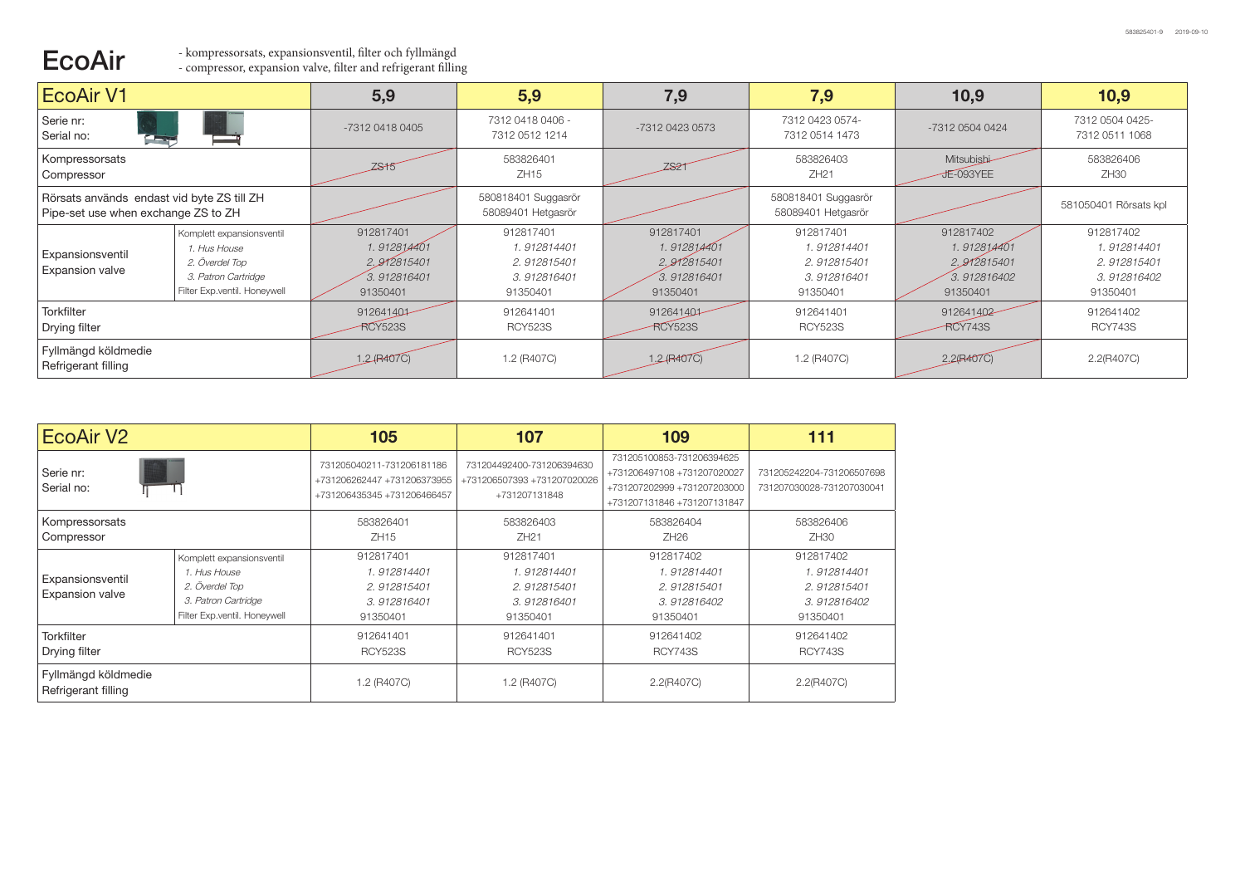## ECOAIr <sup>- kompressorsats, expansionsventil, filter och fyllmängd</sup><br>
- compressor, expansion valve, filter and refrigerant filling

| <b>EcoAir V1</b>                                                                  |                                                                                                                           | 5,9                                                                | 5,9                                                                | 7,9                                                                | 7,9                                                                | 10,9                                                               | 10,9                                                               |
|-----------------------------------------------------------------------------------|---------------------------------------------------------------------------------------------------------------------------|--------------------------------------------------------------------|--------------------------------------------------------------------|--------------------------------------------------------------------|--------------------------------------------------------------------|--------------------------------------------------------------------|--------------------------------------------------------------------|
| Serie nr:<br>Serial no:<br><b>The Region</b>                                      |                                                                                                                           | -7312 0418 0405                                                    | 7312 0418 0406 -<br>7312 0512 1214                                 | -7312 0423 0573                                                    | 7312 0423 0574-<br>7312 0514 1473                                  | -7312 0504 0424                                                    | 7312 0504 0425-<br>7312 0511 1068                                  |
| Kompressorsats<br>Compressor                                                      |                                                                                                                           | <b>ZS15</b>                                                        | 583826401<br>ZH15                                                  | <b>ZS21</b>                                                        | 583826403<br>ZH21                                                  | Mitsubishi<br>JE-093YEE                                            | 583826406<br>ZH30                                                  |
| Rörsats används endast vid byte ZS till ZH<br>Pipe-set use when exchange ZS to ZH |                                                                                                                           |                                                                    | 580818401 Suggasrör<br>58089401 Hetgasrör                          |                                                                    | 580818401 Suggasrör<br>58089401 Hetgasrör                          |                                                                    | 581050401 Rörsats kpl                                              |
| Expansionsventil<br>Expansion valve                                               | Komplett expansionsventil<br><i>1. Hus House</i><br>2. Överdel Top<br>3. Patron Cartridge<br>Filter Exp.ventil. Honeywell | 912817401<br>1.912814401<br>2.912815401<br>3.912816401<br>91350401 | 912817401<br>1.912814401<br>2.912815401<br>3.912816401<br>91350401 | 912817401<br>1.912814401<br>2.912815401<br>3.912816401<br>91350401 | 912817401<br>1.912814401<br>2.912815401<br>3.912816401<br>91350401 | 912817402<br>1.912814401<br>2.912815401<br>3.912816402<br>91350401 | 912817402<br>1.912814401<br>2.912815401<br>3.912816402<br>91350401 |
| <b>Torkfilter</b><br>Drying filter                                                |                                                                                                                           | 912641401<br><b>RCY523S</b>                                        | 912641401<br><b>RCY523S</b>                                        | 912641401<br><b>RCY523S</b>                                        | 912641401<br><b>RCY523S</b>                                        | 912641402<br><b>RCY743S</b>                                        | 912641402<br><b>RCY743S</b>                                        |
| Fyllmängd köldmedie<br>Refrigerant filling                                        |                                                                                                                           | $1.2$ (R407C)                                                      | 1.2 (R407C)                                                        | 1.2 (R407C)                                                        | 1.2 (R407C)                                                        | $2.2$ (R407C)                                                      | 2.2(R407C)                                                         |

| EcoAir V2                                  |                                                                                                                           | 105                                                                                     | 107                                                                       | 109                                                                                                                    | 111                                                                |
|--------------------------------------------|---------------------------------------------------------------------------------------------------------------------------|-----------------------------------------------------------------------------------------|---------------------------------------------------------------------------|------------------------------------------------------------------------------------------------------------------------|--------------------------------------------------------------------|
| Serie nr:<br>Serial no:                    |                                                                                                                           | 731205040211-731206181186<br>+731206262447 +731206373955<br>+731206435345 +731206466457 | 731204492400-731206394630<br>+731206507393 +731207020026<br>+731207131848 | 731205100853-731206394625<br>+731206497108 +731207020027<br>+731207202999 +731207203000<br>+731207131846 +731207131847 | 731205242204-731206507698<br>731207030028-731207030041             |
| Kompressorsats<br>Compressor               |                                                                                                                           | 583826401<br>ZH15                                                                       | 583826403<br>ZH21                                                         | 583826404<br>ZH26                                                                                                      | 583826406<br>ZH30                                                  |
| Expansionsventil<br>Expansion valve        | Komplett expansionsventil<br><i>1. Hus House</i><br>2. Överdel Top<br>3. Patron Cartridge<br>Filter Exp.ventil. Honeywell | 912817401<br>1.912814401<br>2.912815401<br>3.912816401<br>91350401                      | 912817401<br>1.912814401<br>2.912815401<br>3.912816401<br>91350401        | 912817402<br>1.912814401<br>2.912815401<br>3.912816402<br>91350401                                                     | 912817402<br>1.912814401<br>2.912815401<br>3.912816402<br>91350401 |
| <b>Torkfilter</b><br>Drying filter         |                                                                                                                           | 912641401<br><b>RCY523S</b>                                                             | 912641401<br><b>RCY523S</b>                                               | 912641402<br><b>RCY743S</b>                                                                                            | 912641402<br><b>RCY743S</b>                                        |
| Fyllmängd köldmedie<br>Refrigerant filling |                                                                                                                           | 1.2 (R407C)                                                                             | 1.2 (R407C)                                                               | 2.2(R407C)                                                                                                             | 2.2(R407C)                                                         |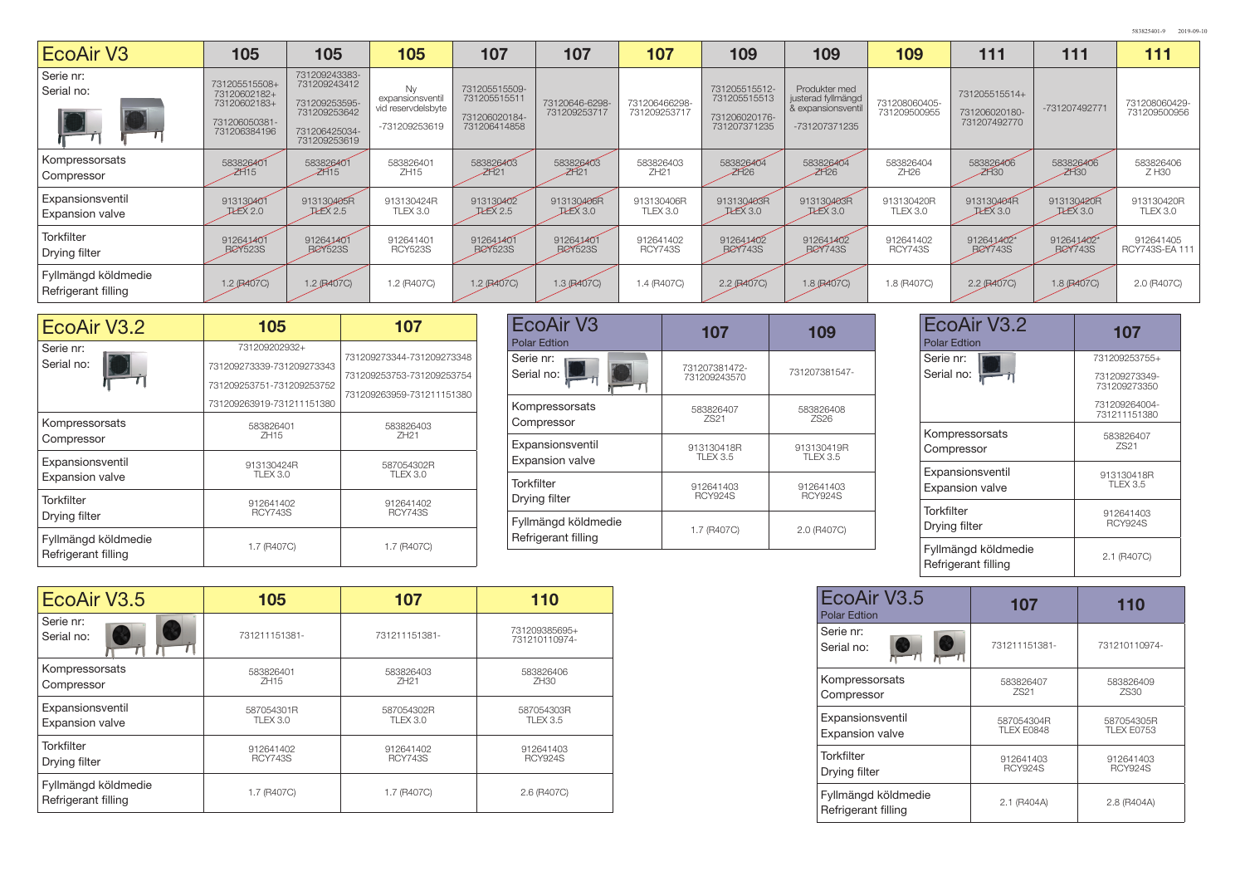| <b>EcoAir V3</b>                           | 105                                                                            | 105                                                                                             | 105                                                           | 107                                                            | 107                            | 107                           | 109                                                            | 109                                                                        | 109                           | 111                                            | 111             | 111                           |
|--------------------------------------------|--------------------------------------------------------------------------------|-------------------------------------------------------------------------------------------------|---------------------------------------------------------------|----------------------------------------------------------------|--------------------------------|-------------------------------|----------------------------------------------------------------|----------------------------------------------------------------------------|-------------------------------|------------------------------------------------|-----------------|-------------------------------|
| Serie nr:<br>Serial no:                    | 731205515508+<br>73120602182+<br>73120602183+<br>731206050381-<br>731206384196 | 731209243383-<br>731209243412<br>731209253595-<br>731209253642<br>731206425034-<br>731209253619 | Ny<br>expansionsventil<br>vid reservdelsbyte<br>-731209253619 | 731205515509-<br>731205515511<br>731206020184-<br>731206414858 | 73120646-6298-<br>731209253717 | 731206466298-<br>731209253717 | 731205515512-<br>731205515513<br>731206020176-<br>731207371235 | Produkter med<br>justerad fyllmängd<br>& expansionsventil<br>-731207371235 | 731208060405-<br>731209500955 | 731205515514+<br>731206020180-<br>731207492770 | -731207492771   | 731208060429-<br>731209500956 |
| Kompressorsats                             | 583826401                                                                      | 583826401                                                                                       | 583826401                                                     | 583826403                                                      | 583826403                      | 583826403                     | 583826404                                                      | 583826404                                                                  | 583826404                     | 583826406                                      | 583826406       | 583826406                     |
| Compressor                                 | ZH15                                                                           | ZH15                                                                                            | ZH15                                                          | ZH21                                                           | ZH21                           | ZH21                          | ZH26                                                           | ZH26                                                                       | ZH26                          | ZH30                                           | ZH30            | Z H30                         |
| Expansionsventil                           | 913130401                                                                      | 913130405R                                                                                      | 913130424R                                                    | 913130402                                                      | 913130406R                     | 913130406R                    | 913130403R                                                     | 913130403R                                                                 | 913130420R                    | 913130404R                                     | 913130420R      | 913130420R                    |
| <b>Expansion valve</b>                     | <b>ILEX 2.0</b>                                                                | EEX2.5                                                                                          | TLEX 3.0                                                      | <b>ILEX 2.5</b>                                                | EEX3.0                         | <b>TLEX 3.0</b>               | <b>ILEX 3.0</b>                                                | <b>JLEX 3.0</b>                                                            | <b>TLEX 3.0</b>               | <b>ILEX 3.0</b>                                | <b>JLEX 3.0</b> | TLEX 3.0                      |
| Torkfilter                                 | 912641401                                                                      | 912641401                                                                                       | 912641401                                                     | 912641401                                                      | 912641401                      | 912641402                     | 912641402                                                      | 912641402                                                                  | 912641402                     | 912641402*                                     | 912641402*      | 912641405                     |
| Drying filter                              | <b>BCY523S</b>                                                                 | <b>BeY523S</b>                                                                                  | <b>RCY523S</b>                                                | <b>BeY523S</b>                                                 | <b>BeY523S</b>                 | <b>RCY743S</b>                | <b>BeY743S</b>                                                 | <b>BCY743S</b>                                                             | <b>RCY743S</b>                | <b>BeY743S</b>                                 | <b>BeY743S</b>  | RCY743S-EA 111                |
| Fyllmängd köldmedie<br>Refrigerant filling | 1.2 (R407C)                                                                    | $1.2$ (R407C)                                                                                   | 1.2 (R407C)                                                   | 1.2 (B407C)                                                    | $1.3$ (R407C)                  | 1.4 (R407C)                   | 2.2 (R407C)                                                    | $1.8$ (R407C)                                                              | 1.8 (R407C)                   | 2.2 (R407C)                                    | $1.8$ (R407C)   | 2.0 (R407C)                   |

| EcoAir V3.2                                | 105                                                                                                  | 107                                                                                 |
|--------------------------------------------|------------------------------------------------------------------------------------------------------|-------------------------------------------------------------------------------------|
| Serie nr:<br>Serial no:                    | 731209202932+<br>731209273339-731209273343<br>731209253751-731209253752<br>731209263919-731211151380 | 731209273344-731209273348<br>731209253753-731209253754<br>731209263959-731211151380 |
| Kompressorsats                             | 583826401                                                                                            | 583826403                                                                           |
| Compressor                                 | ZH15                                                                                                 | ZH21                                                                                |
| Expansionsventil                           | 913130424R                                                                                           | 587054302R                                                                          |
| <b>Expansion valve</b>                     | <b>TLEX 3.0</b>                                                                                      | <b>TLEX 3.0</b>                                                                     |
| <b>Torkfilter</b>                          | 912641402                                                                                            | 912641402                                                                           |
| Drying filter                              | <b>RCY743S</b>                                                                                       | <b>RCY743S</b>                                                                      |
| Fyllmängd köldmedie<br>Refrigerant filling | 1.7 (R407C)                                                                                          | 1.7 (R407C)                                                                         |

| <b>EcoAir V3</b><br><b>Polar Edtion</b> | 107                           | 109                           | EcoAir V3.2<br><b>Polar Edtion</b>         | 107                                            |
|-----------------------------------------|-------------------------------|-------------------------------|--------------------------------------------|------------------------------------------------|
| Serie nr:<br>Serial no:                 | 731207381472-<br>731209243570 | 731207381547-                 | Serie nr:<br>Serial no:                    | 731209253755+<br>731209273349-<br>731209273350 |
| Kompressorsats<br>Compressor            | 583826407<br>ZS21             | 583826408<br><b>ZS26</b>      |                                            | 731209264004-<br>731211151380                  |
| Expansionsventil<br>Expansion valve     | 913130418R<br><b>TLEX 3.5</b> | 913130419R<br><b>TLEX 3.5</b> | Kompressorsats<br>Compressor               | 583826407<br><b>ZS21</b>                       |
| <b>Torkfilter</b><br>Drying filter      | 912641403<br><b>RCY924S</b>   | 912641403<br>RCY924S          | Expansionsventil<br><b>Expansion valve</b> | 913130418R<br><b>TLEX 3.5</b>                  |
| Fyllmängd köldmedie                     | 1.7 (R407C)                   | 2.0 (R407C)                   | <b>Torkfilter</b><br>Drying filter         | 912641403<br><b>RCY924S</b>                    |
| Refrigerant filling                     |                               |                               | Fyllmängd köldmedie<br>Refrigerant filling | 2.1 (R407C)                                    |

| EcoAir V3.5                                | 105              | 107            | 110                            |
|--------------------------------------------|------------------|----------------|--------------------------------|
| Serie nr:<br>Serial no:                    | 731211151381-    | 731211151381-  | 731209385695+<br>731210110974- |
| Kompressorsats                             | 583826401        | 583826403      | 583826406                      |
| Compressor                                 | ZH <sub>15</sub> | ZH21           | ZH30                           |
| Expansionsventil                           | 587054301R       | 587054302R     | 587054303R                     |
| Expansion valve                            | <b>TLEX 3.0</b>  | TLEX 3.0       | <b>TLEX 3.5</b>                |
| <b>Torkfilter</b>                          | 912641402        | 912641402      | 912641403                      |
| Drying filter                              | <b>RCY743S</b>   | <b>RCY743S</b> | <b>RCY924S</b>                 |
| Fyllmängd köldmedie<br>Refrigerant filling | 1.7 (R407C)      | 1.7 (R407C)    | 2.6 (R407C)                    |

| EcoAir V3.5<br><b>Polar Edtion</b>         | 107              | 110               |
|--------------------------------------------|------------------|-------------------|
| Serie nr:<br>Serial no:                    | 731211151381-    | 731210110974-     |
| Kompressorsats                             | 583826407        | 583826409         |
| Compressor                                 | ZS <sub>21</sub> | ZS30              |
| Expansionsventil                           | 587054304R       | 587054305R        |
| <b>Expansion valve</b>                     | TLEX E0848       | <b>TLEX E0753</b> |
| Torkfilter                                 | 912641403        | 912641403         |
| Drying filter                              | <b>RCY924S</b>   | <b>RCY924S</b>    |
| Fyllmängd köldmedie<br>Refrigerant filling | 2.1 (R404A)      | 2.8 (R404A)       |